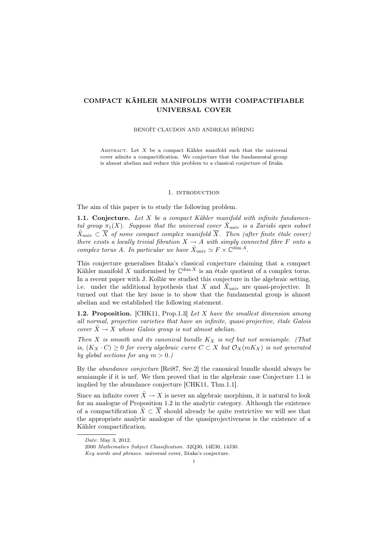# COMPACT KÄHLER MANIFOLDS WITH COMPACTIFIABLE UNIVERSAL COVER

#### BENOÎT CLAUDON AND ANDREAS HÖRING

ABSTRACT. Let  $X$  be a compact Kähler manifold such that the universal cover admits a compactification. We conjecture that the fundamental group is almost abelian and reduce this problem to a classical conjecture of Iitaka.

### 1. INTRODUCTION

The aim of this paper is to study the following problem.

1.1. Conjecture. Let  $X$  be a compact Kähler manifold with infinite fundamental group  $\pi_1(X)$ . Suppose that the universal cover  $\tilde{X}_{\text{univ}}$  is a Zariski open subset  $\tilde{X}_{\text{univ}} \subset \overline{X}$  of some compact complex manifold  $\overline{X}$ . Then (after finite étale cover) there exists a locally trivial fibration  $X \to A$  with simply connected fibre F onto a complex torus A. In particular we have  $\tilde{X}_{\text{univ}} \simeq F \times \mathbb{C}^{\dim A}$ .

This conjecture generalises Iitaka's classical conjecture claiming that a compact Kähler manifold X uniformised by  $\mathbb{C}^{\dim X}$  is an étale quotient of a complex torus. In a recent paper with J. Kollár we studied this conjecture in the algebraic setting, i.e. under the additional hypothesis that X and  $\tilde{X}_{\text{univ}}$  are quasi-projective. It turned out that the key issue is to show that the fundamental group is almost abelian and we established the following statement.

1.2. Proposition. [CHK11, Prop.1.3] Let  $X$  have the smallest dimension among all normal, projective varieties that have an infinite, quasi-projective, étale Galois cover  $\tilde{X} \to X$  whose Galois group is not almost abelian.

Then X is smooth and its canonical bundle  $K_X$  is nef but not semiample. (That is,  $(K_X \cdot C) \geq 0$  for every algebraic curve  $C \subset X$  but  $\mathcal{O}_X(mK_X)$  is not generated by global sections for any  $m > 0$ .)

By the abundance conjecture [Rei87, Sec.2] the canonical bundle should always be semiample if it is nef. We then proved that in the algebraic case Conjecture 1.1 is implied by the abundance conjecture [CHK11, Thm.1.1].

Since an infinite cover  $\tilde{X} \to X$  is never an algebraic morphism, it is natural to look for an analogue of Proposition 1.2 in the analytic category. Although the existence of a compactification  $\bar{X} \subset \overline{X}$  should already be quite restrictive we will see that the appropriate analytic analogue of the quasiprojectiveness is the existence of a Kähler compactification.

Date: May 3, 2012.

<sup>2000</sup> Mathematics Subject Classification. 32Q30, 14E30, 14J30.

Key words and phrases. universal cover, Iitaka's conjecture.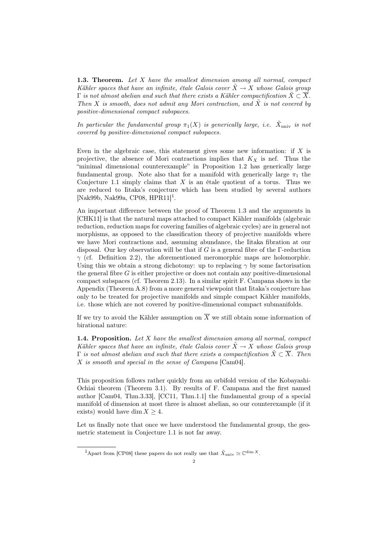1.3. Theorem. Let X have the smallest dimension among all normal, compact Kähler spaces that have an infinite, étale Galois cover  $\ddot{X} \rightarrow X$  whose Galois group  $\Gamma$  is not almost abelian and such that there exists a Kähler compactification  $\tilde{X} \subset \overline{X}$ . Then X is smooth, does not admit any Mori contraction, and  $\tilde{X}$  is not covered by positive-dimensional compact subspaces.

In particular the fundamental group  $\pi_1(X)$  is generically large, i.e.  $\tilde{X}_{\text{univ}}$  is not covered by positive-dimensional compact subspaces.

Even in the algebraic case, this statement gives some new information: if  $X$  is projective, the absence of Mori contractions implies that  $K_X$  is nef. Thus the "minimal dimensional counterexample" in Proposition 1.2 has generically large fundamental group. Note also that for a manifold with generically large  $\pi_1$  the Conjecture 1.1 simply claims that  $X$  is an étale quotient of a torus. Thus we are reduced to Iitaka's conjecture which has been studied by several authors [Nak99b, Nak99a, CP08, HPR11]<sup>1</sup>.

An important difference between the proof of Theorem 1.3 and the arguments in [CHK11] is that the natural maps attached to compact Kähler manifolds (algebraic reduction, reduction maps for covering families of algebraic cycles) are in general not morphisms, as opposed to the classification theory of projective manifolds where we have Mori contractions and, assuming abundance, the Iitaka fibration at our disposal. Our key observation will be that if  $G$  is a general fibre of the  $\Gamma$ -reduction  $\gamma$  (cf. Definition 2.2), the aforementioned meromorphic maps are holomorphic. Using this we obtain a strong dichotomy: up to replacing  $\gamma$  by some factorisation the general fibre  $G$  is either projective or does not contain any positive-dimensional compact subspaces (cf. Theorem 2.13). In a similar spirit F. Campana shows in the Appendix (Theorem A.8) from a more general viewpoint that Iitaka's conjecture has only to be treated for projective manifolds and simple compact Kähler manifolds, i.e. those which are not covered by positive-dimensional compact submanifolds.

If we try to avoid the Kähler assumption on  $\overline{X}$  we still obtain some information of birational nature:

**1.4. Proposition.** Let  $X$  have the smallest dimension among all normal, compact Kähler spaces that have an infinite, étale Galois cover  $\tilde{X} \to X$  whose Galois group Γ is not almost abelian and such that there exists a compactification  $\tilde{X} \subset \overline{X}$ . Then X is smooth and special in the sense of Campana [Cam04].

This proposition follows rather quickly from an orbifold version of the Kobayashi-Ochiai theorem (Theorem 3.1). By results of F. Campana and the first named author [Cam04, Thm.3.33], [CC11, Thm.1.1] the fundamental group of a special manifold of dimension at most three is almost abelian, so our counterexample (if it exists) would have dim  $X \geq 4$ .

Let us finally note that once we have understood the fundamental group, the geometric statement in Conjecture 1.1 is not far away.

<sup>&</sup>lt;sup>1</sup>Apart from [CP08] these papers do not really use that  $\tilde{X}_{\text{univ}} \simeq \mathbb{C}^{\dim X}$ .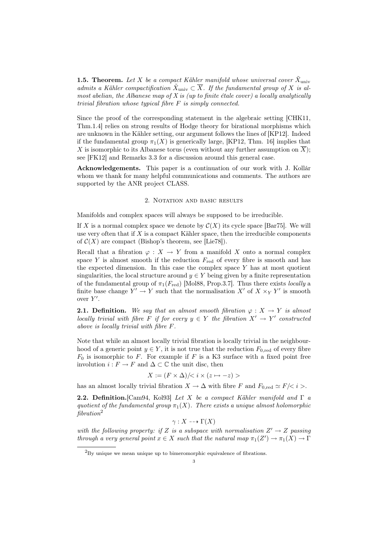**1.5. Theorem.** Let X be a compact Kähler manifold whose universal cover  $\tilde{X}_{\text{univ}}$ admits a Kähler compactification  $\tilde{X}_{\text{univ}} \subset \overline{X}$ . If the fundamental group of X is almost abelian, the Albanese map of  $X$  is (up to finite étale cover) a locally analytically trivial fibration whose typical fibre F is simply connected.

Since the proof of the corresponding statement in the algebraic setting [CHK11, Thm.1.4] relies on strong results of Hodge theory for birational morphisms which are unknown in the Kähler setting, our argument follows the lines of [KP12]. Indeed if the fundamental group  $\pi_1(X)$  is generically large, [KP12, Thm. 16] implies that X is isomorphic to its Albanese torus (even without any further assumption on  $\overline{X}$ ); see [FK12] and Remarks 3.3 for a discussion around this general case.

Acknowledgements. This paper is a continuation of our work with J. Kollár whom we thank for many helpful communications and comments. The authors are supported by the ANR project CLASS.

### 2. NOTATION AND BASIC RESULTS

Manifolds and complex spaces will always be supposed to be irreducible.

If X is a normal complex space we denote by  $\mathcal{C}(X)$  its cycle space [Bar75]. We will use very often that if  $X$  is a compact Kähler space, then the irreducible components of  $\mathcal{C}(X)$  are compact (Bishop's theorem, see [Lie78]).

Recall that a fibration  $\varphi: X \to Y$  from a manifold X onto a normal complex space Y is almost smooth if the reduction  $F_{\text{red}}$  of every fibre is smooth and has the expected dimension. In this case the complex space  $Y$  has at most quotient singularities, the local structure around  $y \in Y$  being given by a finite representation of the fundamental group of  $\pi_1(F_{\text{red}})$  [Mol88, Prop.3.7]. Thus there exists *locally a* finite base change  $Y' \to Y$  such that the normalisation X' of  $X \times_Y Y'$  is smooth over  $Y'$ .

**2.1. Definition.** We say that an almost smooth fibration  $\varphi: X \to Y$  is almost locally trivial with fibre F if for every  $y \in Y$  the fibration  $X' \to Y'$  constructed above is locally trivial with fibre F.

Note that while an almost locally trivial fibration is locally trivial in the neighbourhood of a generic point  $y \in Y$ , it is not true that the reduction  $F_{0, \text{red}}$  of every fibre  $F_0$  is isomorphic to F. For example if F is a K3 surface with a fixed point free involution  $i : F \to F$  and  $\Delta \subset \mathbb{C}$  the unit disc, then

$$
X := (F \times \Delta) / \langle i \times (z \mapsto -z) \rangle
$$

has an almost locally trivial fibration  $X \to \Delta$  with fibre F and  $F_{0,\text{red}} \simeq F/\langle i \rangle$ .

**2.2. Definition.**[Cam94, Kol93] Let X be a compact Kähler manifold and  $\Gamma$  a quotient of the fundamental group  $\pi_1(X)$ . There exists a unique almost holomorphic  $fibration<sup>2</sup>$ 

 $\gamma: X \dashrightarrow \Gamma(X)$ 

with the following property: if Z is a subspace with normalisation  $Z' \to Z$  passing through a very general point  $x \in X$  such that the natural map  $\pi_1(Z') \to \pi_1(X) \to \Gamma$ 

<sup>&</sup>lt;sup>2</sup>By unique we mean unique up to bimeromorphic equivalence of fibrations.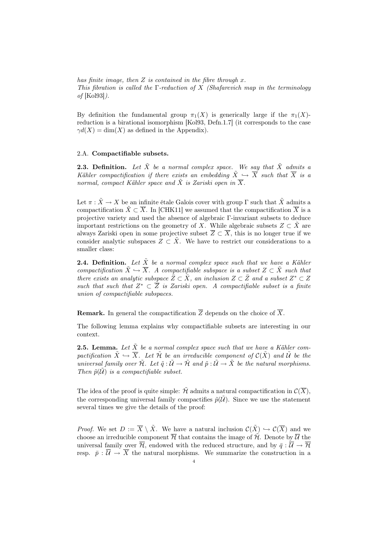has finite image, then  $Z$  is contained in the fibre through  $x$ . This fibration is called the Γ-reduction of X (Shafarevich map in the terminology of [Kol93]).

By definition the fundamental group  $\pi_1(X)$  is generically large if the  $\pi_1(X)$ reduction is a birational isomorphism [Kol93, Defn.1.7] (it corresponds to the case  $\gamma d(X) = \dim(X)$  as defined in the Appendix).

# 2.A. Compactifiable subsets.

**2.3. Definition.** Let  $\tilde{X}$  be a normal complex space. We say that  $\tilde{X}$  admits a Kähler compactification if there exists an embedding  $\tilde{X} \hookrightarrow \overline{X}$  such that  $\overline{X}$  is a normal, compact Kähler space and  $\tilde{X}$  is Zariski open in  $\overline{X}$ .

Let  $\pi : \tilde{X} \to X$  be an infinite étale Galois cover with group  $\Gamma$  such that  $\tilde{X}$  admits a compactification  $\tilde{X} \subset \overline{X}$ . In [CHK11] we assumed that the compactification  $\overline{X}$  is a projective variety and used the absence of algebraic Γ-invariant subsets to deduce important restrictions on the geometry of X. While algebraic subsets  $Z \subset \tilde{X}$  are always Zariski open in some projective subset  $\overline{Z} \subset \overline{X}$ , this is no longer true if we consider analytic subspaces  $Z \subset \tilde{X}$ . We have to restrict our considerations to a smaller class:

**2.4. Definition.** Let  $\tilde{X}$  be a normal complex space such that we have a Kähler compactification  $\tilde{X} \hookrightarrow \overline{X}$ . A compactifiable subspace is a subset  $Z \subset \tilde{X}$  such that there exists an analytic subspace  $\bar{Z} \subset \bar{X}$ , an inclusion  $Z \subset \bar{Z}$  and a subset  $Z^* \subset Z$ such that such that  $Z^* \subset \overline{Z}$  is Zariski open. A compactifiable subset is a finite union of compactifiable subspaces.

**Remark.** In general the compactification  $\overline{Z}$  depends on the choice of  $\overline{X}$ .

The following lemma explains why compactifiable subsets are interesting in our context.

**2.5. Lemma.** Let  $\tilde{X}$  be a normal complex space such that we have a Kähler compactification  $\tilde{X} \hookrightarrow \overline{X}$ . Let  $\tilde{\mathcal{H}}$  be an irreducible component of  $\mathcal{C}(\tilde{X})$  and  $\tilde{\mathcal{U}}$  be the universal family over  $\tilde{\mathcal{H}}$ . Let  $\tilde{q}: \tilde{\mathcal{U}} \to \tilde{\mathcal{H}}$  and  $\tilde{p}: \tilde{\mathcal{U}} \to \tilde{X}$  be the natural morphisms. Then  $\tilde{p}(\tilde{U})$  is a compactifiable subset.

The idea of the proof is quite simple:  $\mathcal{\hat{H}}$  admits a natural compactification in  $\mathcal{C}(\overline{X})$ . the corresponding universal family compactifies  $\tilde{p}(\tilde{\mathcal{U}})$ . Since we use the statement several times we give the details of the proof:

*Proof.* We set  $D := \overline{X} \setminus \tilde{X}$ . We have a natural inclusion  $\mathcal{C}(\tilde{X}) \hookrightarrow \mathcal{C}(\overline{X})$  and we choose an irreducible component  $\overline{\mathcal{H}}$  that contains the image of  $\mathcal{H}$ . Denote by  $\overline{\mathcal{U}}$  the universal family over  $\overline{\mathcal{H}}$ , endowed with the reduced structure, and by  $\overline{q} : \overline{\mathcal{U}} \to \overline{\mathcal{H}}$ resp.  $\bar{p}$ :  $\bar{\mathcal{U}} \rightarrow \bar{X}$  the natural morphisms. We summarize the construction in a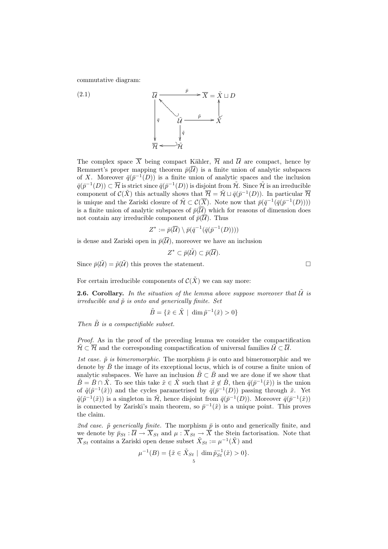commutative diagram:

(2.1)  

$$
\overline{\mathcal{U}} \xrightarrow{\overline{p}} \overline{X} = \tilde{X} \sqcup D
$$

$$
\overline{q} \xrightarrow{\overline{\mathcal{U}} \xrightarrow{\overline{p}} \overline{X}
$$

$$
\overline{q} \xrightarrow{\overline{\mathcal{U}} \xrightarrow{\overline{p}} \overline{X}
$$

$$
\overline{q} \xrightarrow{\overline{\mathcal{U}}}
$$

The complex space  $\overline{X}$  being compact Kähler,  $\overline{\mathcal{H}}$  and  $\overline{\mathcal{U}}$  are compact, hence by Remmert's proper mapping theorem  $\bar{p}(\overline{\mathcal{U}})$  is a finite union of analytic subspaces of X. Moreover  $\bar{q}(\bar{p}^{-1}(D))$  is a finite union of analytic spaces and the inclusion  $\bar{q}(\bar{p}^{-1}(D)) \subset \overline{\mathcal{H}}$  is strict since  $\bar{q}(\bar{p}^{-1}(D))$  is disjoint from  $\tilde{\mathcal{H}}$ . Since  $\tilde{\mathcal{H}}$  is an irreducible component of  $\mathcal{C}(\tilde{X})$  this actually shows that  $\overline{\mathcal{H}} = \tilde{\mathcal{H}} \sqcup \overline{q}(\overline{p}^{-1}(D)).$  In particular  $\overline{\mathcal{H}}$ is unique and the Zariski closure of  $\tilde{\mathcal{H}} \subset \mathcal{C}(\overline{X})$ . Note now that  $\bar{p}(\bar{q}^{-1}(\bar{q}(\bar{p}^{-1}(D))))$ is a finite union of analytic subspaces of  $\bar{p}(\overline{\mathcal{U}})$  which for reasons of dimension does not contain any irreducible component of  $\bar{p}(\overline{\mathcal{U}})$ . Thus

$$
Z^* := \bar{p}(\overline{\mathcal{U}}) \setminus \bar{p}(\bar{q}^{-1}(\bar{q}(\bar{p}^{-1}(D))))
$$

is dense and Zariski open in  $\bar{p}(\overline{\mathcal{U}})$ , moreover we have an inclusion

$$
Z^* \subset \bar{p}(\tilde{\mathcal{U}}) \subset \bar{p}(\overline{\mathcal{U}}).
$$

Since  $\bar{p}(\tilde{\mathcal{U}}) = \tilde{p}(\tilde{\mathcal{U}})$  this proves the statement.

For certain irreducible components of  $\mathcal{C}(\tilde{X})$  we can say more:

**2.6. Corollary.** In the situation of the lemma above suppose moreover that  $\tilde{U}$  is irreducible and  $\tilde{p}$  is onto and generically finite. Set

$$
\tilde{B} = \{ \tilde{x} \in \tilde{X} \mid \dim \tilde{p}^{-1}(\tilde{x}) > 0 \}
$$

Then  $\tilde{B}$  is a compactifiable subset.

Proof. As in the proof of the preceding lemma we consider the compactification  $\tilde{\mathcal{H}} \subset \overline{\mathcal{H}}$  and the corresponding compactification of universal families  $\tilde{\mathcal{U}} \subset \overline{\mathcal{U}}$ .

1st case.  $\tilde{p}$  is bimeromorphic. The morphism  $\bar{p}$  is onto and bimeromorphic and we denote by  $\bar{B}$  the image of its exceptional locus, which is of course a finite union of analytic subspaces. We have an inclusion  $\tilde{B} \subset \tilde{B}$  and we are done if we show that  $\tilde{B} = \bar{B} \cap \tilde{X}$ . To see this take  $\tilde{x} \in \tilde{X}$  such that  $\tilde{x} \notin \tilde{B}$ , then  $\bar{q}(\bar{p}^{-1}(\tilde{x}))$  is the union of  $\tilde{q}(\tilde{p}^{-1}(\tilde{x}))$  and the cycles parametrised by  $\bar{q}(\bar{p}^{-1}(D))$  passing through  $\tilde{x}$ . Yet  $\tilde{q}(\tilde{p}^{-1}(\tilde{x}))$  is a singleton in  $\tilde{\mathcal{H}}$ , hence disjoint from  $\bar{q}(\bar{p}^{-1}(D))$ . Moreover  $\bar{q}(\bar{p}^{-1}(\tilde{x}))$ is connected by Zariski's main theorem, so  $\bar{p}^{-1}(\tilde{x})$  is a unique point. This proves the claim.

2nd case.  $\tilde{p}$  generically finite. The morphism  $\bar{p}$  is onto and generically finite, and we denote by  $\bar{p}_{St} : \overline{U} \to \overline{X}_{St}$  and  $\mu : \overline{X}_{St} \to \overline{X}$  the Stein factorisation. Note that  $\overline{X}_{St}$  contains a Zariski open dense subset  $\tilde{X}_{St} := \mu^{-1}(\tilde{X})$  and

$$
\mu^{-1}(B) = \{ \tilde{x} \in \tilde{X}_{St} \mid \dim \tilde{p}_{St}^{-1}(\tilde{x}) > 0 \}.
$$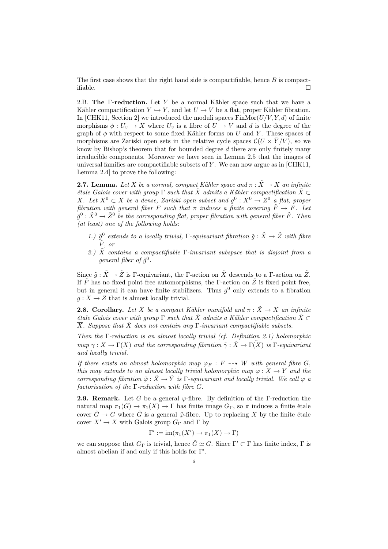The first case shows that the right hand side is compactifiable, hence  $B$  is compactifiable.  $\Box$ 

2.B. The Γ-reduction. Let Y be a normal Kähler space such that we have a Kähler compactification  $Y \hookrightarrow \overline{Y}$ , and let  $U \to V$  be a flat, proper Kähler fibration. In [CHK11, Section 2] we introduced the moduli spaces  $\text{FinMor}(U/V, Y, d)$  of finite morphisms  $\phi: U_v \to X$  where  $U_v$  is a fibre of  $U \to V$  and d is the degree of the graph of  $\phi$  with respect to some fixed Kähler forms on U and Y. These spaces of morphisms are Zariski open sets in the relative cycle spaces  $\mathcal{C}(U \times \overline{Y}/V)$ , so we know by Bishop's theorem that for bounded degree d there are only finitely many irreducible components. Moreover we have seen in Lemma 2.5 that the images of universal families are compactifiable subsets of  $Y$ . We can now argue as in [CHK11, Lemma 2.4] to prove the following:

**2.7. Lemma.** Let X be a normal, compact Kähler space and  $\pi : \tilde{X} \to X$  an infinite étale Galois cover with group  $\Gamma$  such that  $\tilde{X}$  admits a Kähler compactification  $\tilde{X} \subset$  $\overline{X}$ . Let  $X^0 \subset X$  be a dense, Zariski open subset and  $g^0: X^0 \to Z^0$  a flat, proper fibration with general fiber F such that  $\pi$  induces a finite covering  $\tilde{F} \to F$ . Let  $\tilde{g}^0: \tilde{X}^0 \to \tilde{Z}^0$  be the corresponding flat, proper fibration with general fiber  $\tilde{F}$ . Then (at least) one of the following holds:

- 1.)  $\tilde{g}^0$  extends to a locally trivial,  $\Gamma$ -equivariant fibration  $\tilde{g}$  :  $\tilde{X} \to \tilde{Z}$  with fibre  $\tilde{F},~or$
- 2.)  $\tilde{X}$  contains a compactifiable Γ-invariant subspace that is disjoint from a general fiber of  $\tilde{g}^0$ .

Since  $\tilde{g}: \tilde{X} \to \tilde{Z}$  is Γ-equivariant, the Γ-action on  $\tilde{X}$  descends to a Γ-action on  $\tilde{Z}$ . If  $\tilde{F}$  has no fixed point free automorphisms, the Γ-action on  $\tilde{Z}$  is fixed point free. but in general it can have finite stabilizers. Thus  $g^0$  only extends to a fibration  $g: X \to Z$  that is almost locally trivial.

**2.8. Corollary.** Let X be a compact Kähler manifold and  $\pi : \tilde{X} \to X$  an infinite *étale Galois cover with group* Γ such that  $\tilde{X}$  admits a Kähler compactification  $\tilde{X}$  ⊂  $\overline{X}$ . Suppose that  $\tilde{X}$  does not contain any  $\Gamma$ -invariant compactifiable subsets.

Then the  $\Gamma$ -reduction is an almost locally trivial (cf. Definition 2.1) holomorphic map  $\gamma: X \to \Gamma(X)$  and the corresponding fibration  $\tilde{\gamma}: \tilde{X} \to \Gamma(X)$  is  $\Gamma$ -equivariant and locally trivial.

If there exists an almost holomorphic map  $\varphi_F : F \dashrightarrow W$  with general fibre G, this map extends to an almost locally trivial holomorphic map  $\varphi: X \to Y$  and the corresponding fibration  $\tilde{\varphi}$  :  $\tilde{X} \to \tilde{Y}$  is  $\Gamma$ -equivariant and locally trivial. We call  $\varphi$  a factorisation of the  $\Gamma$ -reduction with fibre  $G$ .

**2.9. Remark.** Let G be a general  $\varphi$ -fibre. By definition of the Γ-reduction the natural map  $\pi_1(G) \to \pi_1(X) \to \Gamma$  has finite image  $G_{\Gamma}$ , so  $\pi$  induces a finite étale cover  $\tilde{G} \to G$  where  $\tilde{G}$  is a general  $\tilde{\varphi}$ -fibre. Up to replacing X by the finite étale cover  $X' \to X$  with Galois group  $G_{\Gamma}$  and  $\Gamma$  by

$$
\Gamma' := \operatorname{im}(\pi_1(X') \to \pi_1(X) \to \Gamma)
$$

we can suppose that  $G_{\Gamma}$  is trivial, hence  $\tilde{G} \simeq G$ . Since  $\Gamma' \subset \Gamma$  has finite index,  $\Gamma$  is almost abelian if and only if this holds for  $\Gamma'$ .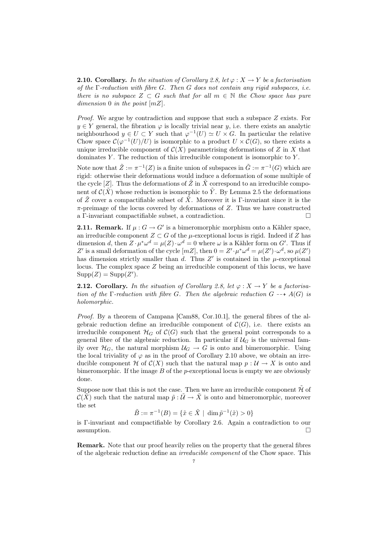**2.10.** Corollary. In the situation of Corollary 2.8, let  $\varphi: X \to Y$  be a factorisation of the  $\Gamma$ -reduction with fibre G. Then G does not contain any rigid subspaces, i.e. there is no subspace  $Z \subset G$  such that for all  $m \in \mathbb{N}$  the Chow space has pure dimension 0 in the point  $[mZ]$ .

*Proof.* We argue by contradiction and suppose that such a subspace  $Z$  exists. For  $y \in Y$  general, the fibration  $\varphi$  is locally trivial near y, i.e. there exists an analytic neighbourhood  $y \in U \subset Y$  such that  $\varphi^{-1}(U) \simeq U \times G$ . In particular the relative Chow space  $\mathcal{C}(\varphi^{-1}(U)/U)$  is isomorphic to a product  $U \times \mathcal{C}(G)$ , so there exists a unique irreducible component of  $C(X)$  parametrising deformations of Z in X that dominates  $Y$ . The reduction of this irreducible component is isomorphic to  $Y$ .

Note now that  $\tilde{Z} := \pi^{-1}(Z)$  is a finite union of subspaces in  $\tilde{G} := \pi^{-1}(G)$  which are rigid: otherwise their deformations would induce a deformation of some multiple of the cycle [Z]. Thus the deformations of  $\tilde{Z}$  in  $\tilde{X}$  correspond to an irreducible component of  $\mathcal{C}(X)$  whose reduction is isomorphic to Y. By Lemma 2.5 the deformations of  $\tilde{Z}$  cover a compactifiable subset of  $\tilde{X}$ . Moreover it is Γ-invariant since it is the  $\pi$ -preimage of the locus covered by deformations of Z. Thus we have constructed a Γ-invariant compactifiable subset, a contradiction.

**2.11. Remark.** If  $\mu$ :  $G \to G'$  is a bimeromorphic morphism onto a Kähler space, an irreducible component  $Z \subset G$  of the  $\mu$ -exceptional locus is rigid. Indeed if Z has dimension d, then  $Z \cdot \mu^* \omega^d = \mu(Z) \cdot \omega^d = 0$  where  $\omega$  is a Kähler form on G'. Thus if Z' is a small deformation of the cycle  $[mZ]$ , then  $0 = Z' \cdot \mu^* \omega^d = \mu(Z') \cdot \omega^d$ , so  $\mu(Z')$ has dimension strictly smaller than  $d$ . Thus  $Z'$  is contained in the  $\mu$ -exceptional locus. The complex space  $Z$  being an irreducible component of this locus, we have  $\text{Supp}(Z) = \text{Supp}(Z').$ 

**2.12. Corollary.** In the situation of Corollary 2.8, let  $\varphi: X \to Y$  be a factorisation of the Γ-reduction with fibre G. Then the algebraic reduction  $G \rightarrow A(G)$  is holomorphic.

Proof. By a theorem of Campana [Cam88, Cor.10.1], the general fibres of the algebraic reduction define an irreducible component of  $\mathcal{C}(G)$ , i.e. there exists an irreducible component  $\mathcal{H}_G$  of  $\mathcal{C}(G)$  such that the general point corresponds to a general fibre of the algebraic reduction. In particular if  $\mathcal{U}_G$  is the universal family over  $\mathcal{H}_G$ , the natural morphism  $\mathcal{U}_G \to G$  is onto and bimeromorphic. Using the local triviality of  $\varphi$  as in the proof of Corollary 2.10 above, we obtain an irreducible component H of  $\mathcal{C}(X)$  such that the natural map  $p : \mathcal{U} \to X$  is onto and bimeromorphic. If the image  $B$  of the p-exceptional locus is empty we are obviously done.

Suppose now that this is not the case. Then we have an irreducible component  $\mathcal{\tilde{H}}$  of  $\mathcal{C}(\tilde{X})$  such that the natural map  $\tilde{p}: \tilde{\mathcal{U}} \to \tilde{X}$  is onto and bimeromorphic, moreover the set

$$
\tilde{B} := \pi^{-1}(B) = \{ \tilde{x} \in \tilde{X} \mid \dim \tilde{p}^{-1}(\tilde{x}) > 0 \}
$$

is Γ-invariant and compactifiable by Corollary 2.6. Again a contradiction to our assumption.  $\square$ 

Remark. Note that our proof heavily relies on the property that the general fibres of the algebraic reduction define an irreducible component of the Chow space. This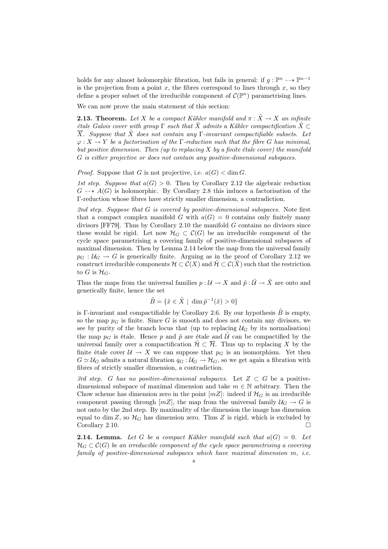holds for any almost holomorphic fibration, but fails in general: if  $g: \mathbb{P}^n \dashrightarrow \mathbb{P}^{n-1}$ is the projection from a point  $x$ , the fibres correspond to lines through  $x$ , so they define a proper subset of the irreducible component of  $\mathcal{C}(\mathbb{P}^n)$  parametrising lines.

We can now prove the main statement of this section:

**2.13. Theorem.** Let X be a compact Kähler manifold and  $\pi : \tilde{X} \to X$  an infinite έtale Galois cover with group Γ such that  $\tilde{X}$  admits a Kähler compactification  $\tilde{X} \subset$  $\overline{X}$ . Suppose that  $\tilde{X}$  does not contain any Γ-invariant compactifiable subsets. Let  $\varphi: X \to Y$  be a factorisation of the Γ-reduction such that the fibre G has minimal, but positive dimension. Then  $\mu$  to replacing X by a finite étale cover) the manifold G is either projective or does not contain any positive-dimensional subspaces.

*Proof.* Suppose that G is not projective, i.e.  $a(G) < \dim G$ .

1st step. Suppose that  $a(G) > 0$ . Then by Corollary 2.12 the algebraic reduction  $G \dashrightarrow A(G)$  is holomorphic. By Corollary 2.8 this induces a factorisation of the Γ-reduction whose fibres have strictly smaller dimension, a contradiction.

2nd step. Suppose that  $G$  is covered by positive-dimensional subspaces. Note first that a compact complex manifold G with  $a(G) = 0$  contains only finitely many divisors [FF79]. Thus by Corollary 2.10 the manifold  $G$  contains no divisors since these would be rigid. Let now  $\mathcal{H}_G \subset \mathcal{C}(G)$  be an irreducible component of the cycle space parametrising a covering family of positive-dimensional subspaces of maximal dimension. Then by Lemma 2.14 below the map from the universal family  $p_G : \mathcal{U}_G \to G$  is generically finite. Arguing as in the proof of Corollary 2.12 we construct irreducible components  $\mathcal{H} \subset \mathcal{C}(X)$  and  $\mathcal{H} \subset \mathcal{C}(X)$  such that the restriction to G is  $\mathcal{H}_G$ .

Thus the maps from the universal families  $p : U \to X$  and  $\tilde{p} : \tilde{U} \to \tilde{X}$  are onto and generically finite, hence the set

$$
\tilde{B} = \{ \tilde{x} \in \tilde{X} \mid \dim \tilde{p}^{-1}(\tilde{x}) > 0 \}
$$

is Γ-invariant and compactifiable by Corollary 2.6. By our hypothesis  $\hat{B}$  is empty, so the map  $p<sub>G</sub>$  is finite. Since G is smooth and does not contain any divisors, we see by purity of the branch locus that (up to replacing  $U_G$  by its normalisation) the map  $p<sub>G</sub>$  is étale. Hence p and  $\tilde{p}$  are étale and  $\tilde{U}$  can be compactified by the universal family over a compactification  $\mathcal{H} \subset \overline{\mathcal{H}}$ . Thus up to replacing X by the finite étale cover  $U \to X$  we can suppose that  $p_G$  is an isomorphism. Yet then  $G \simeq \mathcal{U}_G$  admits a natural fibration  $q_G : \mathcal{U}_G \to \mathcal{H}_G$ , so we get again a fibration with fibres of strictly smaller dimension, a contradiction.

3rd step. G has no positive-dimensional subspaces. Let  $Z \subset G$  be a positivedimensional subspace of maximal dimension and take  $m \in \mathbb{N}$  arbitrary. Then the Chow scheme has dimension zero in the point  $[mZ]$ : indeed if  $\mathcal{H}_G$  is an irreducible component passing through  $[mZ]$ , the map from the universal family  $\mathcal{U}_G \to G$  is not onto by the 2nd step. By maximality of the dimension the image has dimension equal to dim Z, so  $\mathcal{H}_G$  has dimension zero. Thus Z is rigid, which is excluded by Corollary 2.10.

**2.14. Lemma.** Let G be a compact Kähler manifold such that  $a(G) = 0$ . Let  $\mathcal{H}_G \subset \mathcal{C}(G)$  be an irreducible component of the cycle space parametrising a covering family of positive-dimensional subspaces which have maximal dimension m, i.e.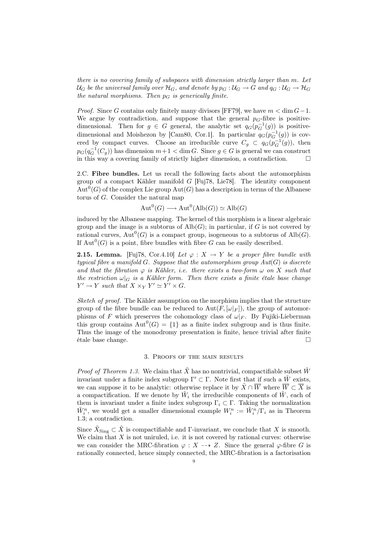there is no covering family of subspaces with dimension strictly larger than m. Let  $U_G$  be the universal family over  $H_G$ , and denote by  $p_G: U_G \to G$  and  $q_G: U_G \to H_G$ the natural morphisms. Then  $p_G$  is generically finite.

*Proof.* Since G contains only finitely many divisors [FF79], we have  $m < \dim G - 1$ . We argue by contradiction, and suppose that the general  $p<sub>G</sub>$ -fibre is positivedimensional. Then for  $g \in G$  general, the analytic set  $q_G(p_G^{-1}(g))$  is positivedimensional and Moishezon by [Cam80, Cor.1]. In particular  $q_G(p_G^{-1}(g))$  is covered by compact curves. Choose an irreducible curve  $C_g \subset q_G(p_G^{-1}(g))$ , then  $p_G(q_G^{-1}(C_g))$  has dimension  $m+1 <$  dim G. Since  $g \in G$  is general we can construct in this way a covering family of strictly higher dimension, a contradiction.  $\Box$ 

2.C. Fibre bundles. Let us recall the following facts about the automorphism group of a compact Kähler manifold G [Fuj78, Lie78]. The identity component  $Aut<sup>0</sup>(G)$  of the complex Lie group  $Aut(G)$  has a description in terms of the Albanese torus of G. Consider the natural map

$$
Aut^0(G) \longrightarrow Aut^0(Alb(G)) \simeq Alb(G)
$$

induced by the Albanese mapping. The kernel of this morphism is a linear algebraic group and the image is a subtorus of  $\text{Alb}(G)$ ; in particular, if G is not covered by rational curves,  $Aut^0(G)$  is a compact group, isogeneous to a subtorus of  $\text{Alb}(G)$ . If  $\text{Aut}^0(G)$  is a point, fibre bundles with fibre G can be easily described.

**2.15. Lemma.** [Fuj78, Cor.4.10] Let  $\varphi : X \to Y$  be a proper fibre bundle with typical fibre a manifold  $G$ . Suppose that the automorphism group  $Aut(G)$  is discrete and that the fibration  $\varphi$  is Kähler, i.e. there exists a two-form  $\omega$  on X such that the restriction  $\omega|_G$  is a Kähler form. Then there exists a finite étale base change  $Y' \to Y$  such that  $X \times_Y Y' \simeq Y' \times G$ .

Sketch of proof. The Kähler assumption on the morphism implies that the structure group of the fibre bundle can be reduced to  $Aut(F,[\omega|_F])$ , the group of automorphisms of F which preserves the cohomology class of  $\omega|_F$ . By Fujiki-Lieberman this group contains  $Aut^0(G) = \{1\}$  as a finite index subgroup and is thus finite. Thus the image of the monodromy presentation is finite, hence trivial after finite étale base change.

# 3. Proofs of the main results

*Proof of Theorem 1.3.* We claim that  $\tilde{X}$  has no nontrivial, compactifiable subset  $\tilde{W}$ invariant under a finite index subgroup  $\Gamma' \subset \Gamma$ . Note first that if such a  $\tilde{W}$  exists, we can suppose it to be analytic: otherwise replace it by  $\tilde{X} \cap \overline{W}$  where  $\overline{W} \subset \overline{X}$  is a compactification. If we denote by  $\tilde{W}_i$  the irreducible components of  $\tilde{W}$ , each of them is invariant under a finite index subgroup  $\Gamma_i \subset \Gamma$ . Taking the normalization  $\tilde{W}_i^n$ , we would get a smaller dimensional example  $W_i^n := \tilde{W}_i^n / \Gamma_i$  as in Theorem 1.3; a contradiction.

Since  $\tilde{X}_{\text{Sing}} \subset \tilde{X}$  is compactifiable and Γ-invariant, we conclude that X is smooth. We claim that  $X$  is not uniruled, i.e. it is not covered by rational curves: otherwise we can consider the MRC-fibration  $\varphi : X \dashrightarrow Z$ . Since the general  $\varphi$ -fibre G is rationally connected, hence simply connected, the MRC-fibration is a factorisation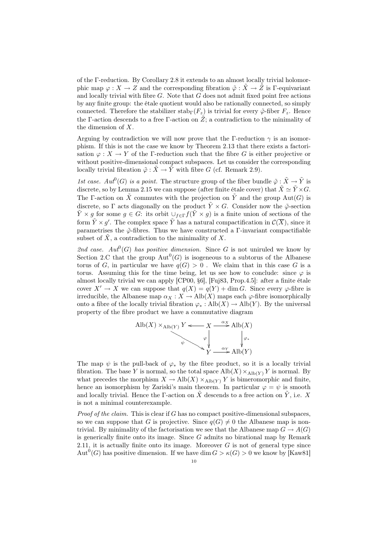of the Γ-reduction. By Corollary 2.8 it extends to an almost locally trivial holomorphic map  $\varphi: X \to Z$  and the corresponding fibration  $\tilde{\varphi}: X \to Z$  is Γ-equivariant and locally trivial with fibre  $G$ . Note that  $G$  does not admit fixed point free actions by any finite group: the étale quotient would also be rationally connected, so simply connected. Therefore the stabilizer stab<sub>Γ</sub>( $F_z$ ) is trivial for every  $\tilde{\varphi}$ -fiber  $F_z$ . Hence the Γ-action descends to a free Γ-action on  $\tilde{Z}$ ; a contradiction to the minimality of the dimension of X.

Arguing by contradiction we will now prove that the Γ-reduction  $\gamma$  is an isomorphism. If this is not the case we know by Theorem 2.13 that there exists a factorisation  $\varphi: X \to Y$  of the Γ-reduction such that the fibre G is either projective or without positive-dimensional compact subspaces. Let us consider the corresponding locally trivial fibration  $\tilde{\varphi}$ :  $\tilde{X} \to \tilde{Y}$  with fibre G (cf. Remark 2.9).

1st case.  $Aut^0(G)$  is a point. The structure group of the fiber bundle  $\tilde{\varphi}: \tilde{X} \to \tilde{Y}$  is discrete, so by Lemma 2.15 we can suppose (after finite étale cover) that  $\tilde{X} \simeq \tilde{Y} \times G$ . The Γ-action on  $\tilde{X}$  commutes with the projection on  $\tilde{Y}$  and the group Aut(G) is discrete, so  $\Gamma$  acts diagonally on the product  $\tilde{Y} \times G$ . Consider now the  $\tilde{\varphi}$ -section  $\tilde{Y} \times g$  for some  $g \in G$ : its orbit  $\cup_{f \in \Gamma} f(\tilde{Y} \times g)$  is a finite union of sections of the form  $\tilde{Y} \times g'$ . The complex space  $\tilde{Y}$  has a natural compactification in  $\mathcal{C}(\overline{X})$ , since it parametrises the  $\tilde{\varphi}$ -fibres. Thus we have constructed a Γ-invariant compactifiable subset of  $\tilde{X}$ , a contradiction to the minimality of X.

2nd case.  $Aut^0(G)$  has positive dimension. Since G is not uniruled we know by Section 2.C that the group  $\text{Aut}^0(G)$  is isogeneous to a subtorus of the Albanese torus of G, in particular we have  $q(G) > 0$ . We claim that in this case G is a torus. Assuming this for the time being, let us see how to conclude: since  $\varphi$  is almost locally trivial we can apply [CP00, §6], [Fuj83, Prop.4.5]: after a finite étale cover  $X' \to X$  we can suppose that  $q(X) = q(Y) + \dim G$ . Since every  $\varphi$ -fibre is irreducible, the Albanese map  $\alpha_X : X \to Alb(X)$  maps each  $\varphi$ -fibre isomorphically onto a fibre of the locally trivial fibration  $\varphi_* : Alb(X) \to Alb(Y)$ . By the universal property of the fibre product we have a commutative diagram



The map  $\psi$  is the pull-back of  $\varphi_*$  by the fibre product, so it is a locally trivial fibration. The base Y is normal, so the total space  $\text{Alb}(X) \times_{\text{Alb}(Y)} Y$  is normal. By what precedes the morphism  $X \to Alb(X) \times_{Alb(Y)} Y$  is bimeromorphic and finite, hence an isomorphism by Zariski's main theorem. In particular  $\varphi = \psi$  is smooth and locally trivial. Hence the Γ-action on  $\tilde{X}$  descends to a free action on  $\tilde{Y}$ , i.e. X is not a minimal counterexample.

*Proof of the claim.* This is clear if  $G$  has no compact positive-dimensional subspaces, so we can suppose that G is projective. Since  $q(G) \neq 0$  the Albanese map is nontrivial. By minimality of the factorisation we see that the Albanese map  $G \to A(G)$ is generically finite onto its image. Since  $G$  admits no birational map by Remark 2.11, it is actually finite onto its image. Moreover  $G$  is not of general type since  $Aut<sup>0</sup>(G)$  has positive dimension. If we have  $dim G > \kappa(G) > 0$  we know by [Kaw81]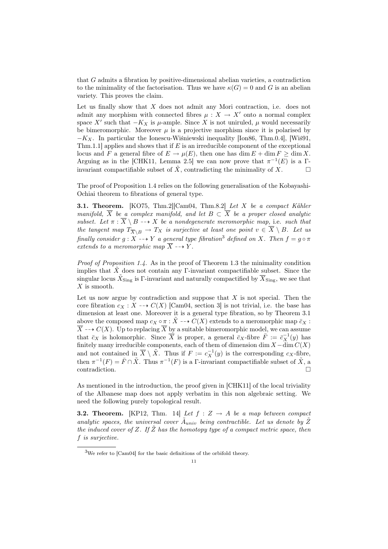that G admits a fibration by positive-dimensional abelian varieties, a contradiction to the minimality of the factorisation. Thus we have  $\kappa(G) = 0$  and G is an abelian variety. This proves the claim.

Let us finally show that  $X$  does not admit any Mori contraction, i.e. does not admit any morphism with connected fibres  $\mu : X \to X'$  onto a normal complex space X' such that  $-K_X$  is  $\mu$ -ample. Since X is not uniruled,  $\mu$  would necessarily be bimeromorphic. Moreover  $\mu$  is a projective morphism since it is polarised by  $-K_X$ . In particular the Ionescu-Wiśniewski inequality [Ion86, Thm.0.4], [Wiś91, Thm.1.1] applies and shows that if  $E$  is an irreducible component of the exceptional locus and F a general fibre of  $E \to \mu(E)$ , then one has dim  $E + \dim F \ge \dim X$ . Arguing as in the [CHK11, Lemma 2.5] we can now prove that  $\pi^{-1}(E)$  is a  $\Gamma$ invariant compactifiable subset of  $\tilde{X}$ , contradicting the minimality of X.

The proof of Proposition 1.4 relies on the following generalisation of the Kobayashi-Ochiai theorem to fibrations of general type.

3.1. Theorem. [KO75, Thm.2][Cam04, Thm.8.2] Let X be a compact Kähler manifold,  $\overline{X}$  be a complex manifold, and let  $B \subset \overline{X}$  be a proper closed analytic subset. Let  $\pi : \overline{X} \setminus B \longrightarrow X$  be a nondegenerate meromorphic map, i.e. such that the tangent map  $T_{\overline{X}\setminus B}$   $\to$   $T_X$  is surjective at least one point  $v \in \overline{X} \setminus B$ . Let us finally consider  $g: X \dashrightarrow Y$  a general type fibration<sup>3</sup> defined on X. Then  $f = g \circ \pi$ extends to a meromorphic map  $\overline{X} \dashrightarrow Y$ .

*Proof of Proposition 1.4.* As in the proof of Theorem 1.3 the minimality condition implies that  $\tilde{X}$  does not contain any Γ-invariant compactifiable subset. Since the singular locus  $\tilde{X}_{\text{Sing}}$  is  $\Gamma$ -invariant and naturally compactified by  $\overline{X}_{\text{Sing}}$ , we see that  $X$  is smooth.

Let us now argue by contradiction and suppose that  $X$  is not special. Then the core fibration  $c_X : X \dashrightarrow C(X)$  [Cam04, section 3] is not trivial, i.e. the base has dimension at least one. Moreover it is a general type fibration, so by Theorem 3.1 above the composed map  $c_X \circ \pi : \tilde{X} \dashrightarrow C(X)$  extends to a meromorphic map  $\bar{c}_X$ :  $\overline{X} \dashrightarrow C(X)$ . Up to replacing  $\overline{X}$  by a suitable bimeromorphic model, we can assume that  $\bar{c}_X$  is holomorphic. Since  $\overline{X}$  is proper, a general  $\bar{c}_X$ -fibre  $\overline{F} := \overline{c}_X^{-1}(y)$  has finitely many irreducible components, each of them of dimension dim  $X - \dim C(X)$ and not contained in  $\overline{X} \setminus \overline{X}$ . Thus if  $F := c_X^{-1}(y)$  is the corresponding  $c_X$ -fibre, then  $\pi^{-1}(F) = \bar{F} \cap \tilde{X}$ . Thus  $\pi^{-1}(F)$  is a Γ-invariant compactifiable subset of  $\tilde{X}$ , a  $\Box$ contradiction.

As mentioned in the introduction, the proof given in [CHK11] of the local triviality of the Albanese map does not apply verbatim in this non algebraic setting. We need the following purely topological result.

**3.2. Theorem.** [KP12, Thm. 14] Let  $f : Z \rightarrow A$  be a map between compact analytic spaces, the universal cover  $\tilde{A}_{univ}$  being contractible. Let us denote by  $\tilde{Z}$ the induced cover of Z. If  $\overline{Z}$  has the homotopy type of a compact metric space, then f is surjective.

<sup>3</sup>We refer to [Cam04] for the basic definitions of the orbifold theory.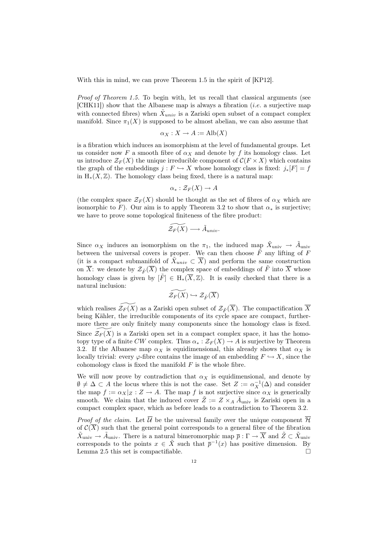With this in mind, we can prove Theorem 1.5 in the spirit of [KP12].

Proof of Theorem 1.5. To begin with, let us recall that classical arguments (see [CHK11]) show that the Albanese map is always a fibration (i.e. a surjective map with connected fibres) when  $\tilde{X}_{univ}$  is a Zariski open subset of a compact complex manifold. Since  $\pi_1(X)$  is supposed to be almost abelian, we can also assume that

$$
\alpha_X : X \to A := \text{Alb}(X)
$$

is a fibration which induces an isomorphism at the level of fundamental groups. Let us consider now F a smooth fibre of  $\alpha_X$  and denote by f its homology class. Let us introduce  $\mathcal{Z}_F(X)$  the unique irreducible component of  $\mathcal{C}(F \times X)$  which contains the graph of the embeddings  $j : F \hookrightarrow X$  whose homology class is fixed:  $j_*[F] = f$ in  $H_*(X, \mathbb{Z})$ . The homology class being fixed, there is a natural map:

$$
\alpha_* : \mathcal{Z}_F(X) \to A
$$

(the complex space  $\mathcal{Z}_F(X)$  should be thought as the set of fibres of  $\alpha_X$  which are isomorphic to F). Our aim is to apply Theorem 3.2 to show that  $\alpha_*$  is surjective; we have to prove some topological finiteness of the fibre product:

$$
\widetilde{\mathcal{Z}_F(X)} \longrightarrow \tilde{A}_{univ}.
$$

Since  $\alpha_X$  induces an isomorphism on the  $\pi_1$ , the induced map  $\tilde{X}_{\text{univ}} \to \tilde{A}_{\text{univ}}$ between the universal covers is proper. We can then choose  $\tilde{F}$  any lifting of F (it is a compact submanifold of  $\tilde{X}_{univ} \subset \overline{X}$ ) and perform the same construction on  $\overline{X}$ : we denote by  $\mathcal{Z}_{\tilde{F}}(\overline{X})$  the complex space of embeddings of  $\tilde{F}$  into  $\overline{X}$  whose homology class is given by  $[\tilde{F}] \in H_*(\overline{X}, \mathbb{Z})$ . It is easily checked that there is a natural inclusion:

$$
\widetilde{\mathcal{Z}_F(X)} \hookrightarrow \mathcal{Z}_{\tilde{F}}(\overline{X})
$$

which realises  $\mathcal{Z}_F(X)$  as a Zariski open subset of  $\mathcal{Z}_F(\overline{X})$ . The compactification  $\overline{X}$ being Kähler, the irreducible components of its cycle space are compact, furthermore there are only finitely many components since the homology class is fixed. Since  $\mathcal{Z}_F (X)$  is a Zariski open set in a compact complex space, it has the homotopy type of a finite CW complex. Thus  $\alpha_* : \mathcal{Z}_F(X) \to A$  is surjective by Theorem 3.2. If the Albanese map  $\alpha_X$  is equidimensional, this already shows that  $\alpha_X$  is locally trivial: every  $\varphi$ -fibre contains the image of an embedding  $F \hookrightarrow X$ , since the cohomology class is fixed the manifold  $F$  is the whole fibre.

We will now prove by contradiction that  $\alpha_X$  is equidimensional, and denote by  $\emptyset \neq \Delta \subset A$  the locus where this is not the case. Set  $Z := \alpha_X^{-1}(\Delta)$  and consider the map  $f := \alpha_X |_{Z} : Z \to A$ . The map f is not surjective since  $\alpha_X$  is generically smooth. We claim that the induced cover  $\tilde{Z} := Z \times_A \tilde{A}_{\text{univ}}$  is Zariski open in a compact complex space, which as before leads to a contradiction to Theorem 3.2.

*Proof of the claim.* Let  $\overline{\mathcal{U}}$  be the universal family over the unique component  $\overline{\mathcal{H}}$ of  $\mathcal{C}(\overline{X})$  such that the general point corresponds to a general fibre of the fibration  $\tilde{X}_{\text{univ}} \to \tilde{A}_{\text{univ}}$ . There is a natural bimeromorphic map  $\bar{p}: \Gamma \to \overline{X}$  and  $\tilde{Z} \subset \tilde{X}_{\text{univ}}$ corresponds to the points  $x \in \tilde{X}$  such that  $\bar{p}^{-1}(x)$  has positive dimension. By Lemma 2.5 this set is compactifiable.  $\Box$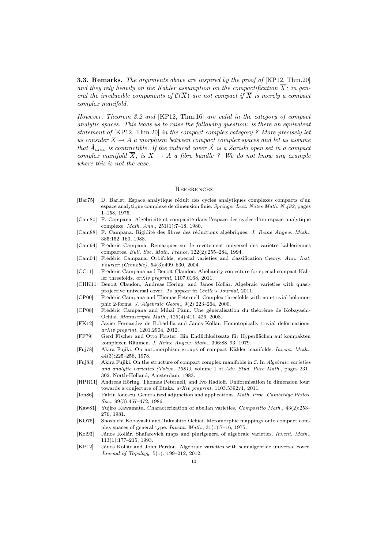**3.3. Remarks.** The arguments above are inspired by the proof of [KP12, Thm.20] and they rely heavily on the Kähler assumption on the compactification  $\overline{X}$ : in general the irreducible components of  $\mathcal{C}(\overline{X})$  are not compact if  $\overline{X}$  is merely a compact complex manifold.

However, Theorem 3.2 and [KP12, Thm.16] are valid in the category of compact analytic spaces. This leads us to raise the following question: is there an equivalent statement of [KP12, Thm.20] in the compact complex category ? More precisely let us consider  $X \to A$  a morphism between compact complex spaces and let us assume that  $\tilde{A}_{univ}$  is contractible. If the induced cover  $\tilde{X}$  is a Zariski open set in a compact complex manifold  $\overline{X}$ , is  $X \to A$  a fibre bundle ? We do not know any example where this is not the case.

#### **REFERENCES**

- [Bar75] D. Barlet. Espace analytique réduit des cycles analytiques complexes compacts d'un espace analytique complexe de dimension finie. Springer Lect. Notes Math. N.482, pages 1–158, 1975.
- [Cam80] F. Campana. Algébricité et compacité dans l'espace des cycles d'un espace analytique complexe. Math. Ann., 251(1):7–18, 1980.
- [Cam88] F. Campana. Rigidité des fibres des réductions algébriques. J. Reine Angew. Math., 385:152–160, 1988.
- [Cam94] Frédéric Campana. Remarques sur le revêtement universel des variétés kählériennes compactes. Bull. Soc. Math. France, 122(2):255–284, 1994.
- [Cam04] Frédéric Campana. Orbifolds, special varieties and classification theory. Ann. Inst. Fourier (Grenoble), 54(3):499–630, 2004.
- [CC11] Frédéric Campana and Benoît Claudon. Abelianity conjecture for special compact Kähler threefolds. arXiv preprint, 1107.0168, 2011.
- [CHK11] Benoît Claudon, Andreas Höring, and János Kollár. Algebraic varieties with quasiprojective universal cover. To appear in Crelle's Journal, 2011.
- [CP00] Frédéric Campana and Thomas Peternell. Complex threefolds with non-trivial holomorphic 2-forms. J. Algebraic Geom., 9(2):223–264, 2000.
- [CP08] Frédéric Campana and Mihai Păun. Une généralisation du théorème de Kobayashi-Ochiai. Manuscripta Math., 125(4):411–426, 2008.
- [FK12] Javier Fernandez de Bobadilla and János Kollár. Homotopically trivial deformations. arXiv preprint, 1201.2904, 2012.
- [FF79] Gerd Fischer and Otto Forster. Ein Endlichkeitssatz für Hyperflächen auf kompakten komplexen Räumen. J. Reine Angew. Math., 306:88–93, 1979.
- [Fuj78] Akira Fujiki. On automorphism groups of compact Kähler manifolds. Invent. Math., 44(3):225–258, 1978.
- [Fuj83] Akira Fujiki. On the structure of compact complex manifolds in C. In Algebraic varieties and analytic varieties (Tokyo, 1981), volume 1 of Adv. Stud. Pure Math., pages 231– 302. North-Holland, Amsterdam, 1983.
- [HPR11] Andreas Höring, Thomas Peternell, and Ivo Radloff. Uniformisation in dimension four: towards a conjecture of Iitaka. arXiv preprint, 1103.5392v1, 2011.
- [Ion86] Paltin Ionescu. Generalized adjunction and applications. Math. Proc. Cambridge Philos. Soc., 99(3):457-472, 1986.
- [Kaw81] Yujiro Kawamata. Characterization of abelian varieties. Compositio Math., 43(2):253– 276, 1981.
- [KO75] Shoshichi Kobayashi and Takushiro Ochiai. Meromorphic mappings onto compact complex spaces of general type. Invent. Math., 31(1):7–16, 1975.
- [Kol93] János Kollár. Shafarevich maps and plurigenera of algebraic varieties. Invent. Math., 113(1):177–215, 1993.
- [KP12] János Kollár and John Pardon. Algebraic varieties with semialgebraic universal cover. Journal of Topology, 5(1): 199–212, 2012.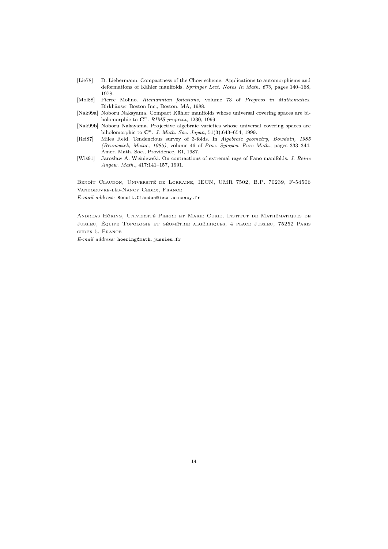- [Lie78] D. Liebermann. Compactness of the Chow scheme: Applications to automorphisms and deformations of Kähler manifolds. Springer Lect. Notes In Math. 670, pages 140–168, 1978.
- [Mol88] Pierre Molino. Riemannian foliations, volume 73 of Progress in Mathematics. Birkhäuser Boston Inc., Boston, MA, 1988.
- [Nak99a] Noboru Nakayama. Compact Kähler manifolds whose universal covering spaces are biholomorphic to  $\mathbb{C}^n$ . RIMS preprint, 1230, 1999.
- [Nak99b] Noboru Nakayama. Projective algebraic varieties whose universal covering spaces are biholomorphic to  $\mathbb{C}^n$ . J. Math. Soc. Japan, 51(3):643-654, 1999.
- [Rei87] Miles Reid. Tendencious survey of 3-folds. In Algebraic geometry, Bowdoin, 1985 (Brunswick, Maine, 1985), volume 46 of Proc. Sympos. Pure Math., pages 333–344. Amer. Math. Soc., Providence, RI, 1987.
- [Wiś91] Jarosław A. Wiśniewski. On contractions of extremal rays of Fano manifolds. J. Reine Angew. Math., 417:141–157, 1991.

Benoît Claudon, Université de Lorraine, IECN, UMR 7502, B.P. 70239, F-54506 Vandoeuvre-lès-Nancy Cedex, France

E-mail address: Benoit.Claudon@iecn.u-nancy.fr

Andreas Höring, Université Pierre et Marie Curie, Institut de Mathématiques de Jussieu, Équipe Topologie et géométrie algébriques, 4 place Jussieu, 75252 Paris cedex 5, France

E-mail address: hoering@math.jussieu.fr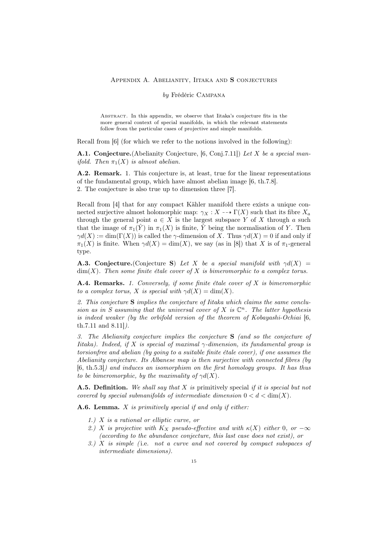#### Appendix A. Abelianity, Iitaka and S conjectures

### by Frédéric Campana

Abstract. In this appendix, we observe that Iitaka's conjecture fits in the more general context of special manifolds, in which the relevant statements follow from the particular cases of projective and simple manifolds.

Recall from [6] (for which we refer to the notions involved in the following):

A.1. Conjecture. (Abelianity Conjecture, [6, Conj.7.11]) Let X be a special man*ifold.* Then  $\pi_1(X)$  is almost abelian.

A.2. Remark. 1. This conjecture is, at least, true for the linear representations of the fundamental group, which have almost abelian image [6, th.7.8]. 2. The conjecture is also true up to dimension three [7].

Recall from [4] that for any compact Kähler manifold there exists a unique connected surjective almost holomorphic map:  $\gamma_X : X \dashrightarrow \Gamma(X)$  such that its fibre  $X_a$ through the general point  $a \in X$  is the largest subspace Y of X through a such that the image of  $\pi_1(\hat{Y})$  in  $\pi_1(X)$  is finite, Y being the normalisation of Y. Then  $\gamma d(X) := \dim(\Gamma(X))$  is called the  $\gamma$ -dimension of X. Thus  $\gamma d(X) = 0$  if and only if  $\pi_1(X)$  is finite. When  $\gamma d(X) = \dim(X)$ , we say (as in [8]) that X is of  $\pi_1$ -general type.

**A.3. Conjecture.**(Conjecture S) Let X be a special manifold with  $\gamma d(X)$  =  $\dim(X)$ . Then some finite étale cover of X is bimeromorphic to a complex torus.

**A.4. Remarks.** 1. Conversely, if some finite étale cover of  $X$  is bimeromorphic to a complex torus, X is special with  $\gamma d(X) = \dim(X)$ .

2. This conjecture S implies the conjecture of Iitaka which claims the same conclusion as in S assuming that the universal cover of X is  $\mathbb{C}^n$ . The latter hypothesis is indeed weaker (by the orbifold version of the theorem of Kobayashi-Ochiai [6, th.7.11 and 8.11]).

3. The Abelianity conjecture implies the conjecture S (and so the conjecture of Iitaka). Indeed, if X is special of maximal  $\gamma$ -dimension, its fundamental group is torsionfree and abelian (by going to a suitable finite étale cover), if one assumes the Abelianity conjecture. Its Albanese map is then surjective with connected fibres (by [6, th.5.3]) and induces an isomorphism on the first homology groups. It has thus to be bimeromorphic, by the maximality of  $\gamma d(X)$ .

**A.5. Definition.** We shall say that X is primitively special if it is special but not covered by special submanifolds of intermediate dimension  $0 < d < \dim(X)$ .

**A.6. Lemma.**  $X$  is primitively special if and only if either:

- 1.) X is a rational or elliptic curve, or
- 2.) X is projective with  $K_X$  pseudo-effective and with  $\kappa(X)$  either 0, or  $-\infty$ (according to the abundance conjecture, this last case does not exist), or
- 3.)  $X$  is simple (i.e. not a curve and not covered by compact subspaces of intermediate dimensions).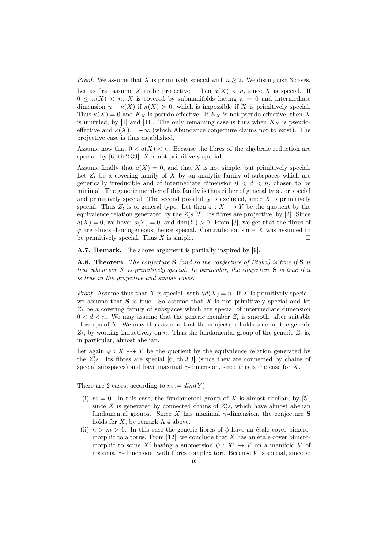*Proof.* We assume that X is primitively special with  $n \geq 2$ . We distinguish 3 cases.

Let us first assume X to be projective. Then  $\kappa(X) < n$ , since X is special. If  $0 \leq \kappa(X) < n$ , X is covered by submanifolds having  $\kappa = 0$  and intermediate dimension  $n - \kappa(X)$  if  $\kappa(X) > 0$ , which is impossible if X is primitively special. Thus  $\kappa(X) = 0$  and  $K_X$  is pseudo-effective. If  $K_X$  is not pseudo-effective, then X is uniruled, by [1] and [11]. The only remaining case is thus when  $K_X$  is pseudoeffective and  $\kappa(X) = -\infty$  (which Abundance conjecture claims not to exist). The projective case is thus established.

Assume now that  $0 < a(X) < n$ . Because the fibres of the algebraic reduction are special, by  $[6, th.2.39]$ , X is not primitively special.

Assume finally that  $a(X) = 0$ , and that X is not simple, but primitively special. Let  $Z_t$  be a covering family of X by an analytic family of subspaces which are generically irreducible and of intermediate dimension  $0 < d < n$ , chosen to be minimal. The generic member of this family is thus either of general type, or special and primitively special. The second possibility is excluded, since  $X$  is primitively special. Thus  $Z_t$  is of general type. Let then  $\varphi: X \dashrightarrow Y$  be the quotient by the equivalence relation generated by the  $Z_t$ 's [2]. Its fibres are projective, by [2]. Since  $a(X) = 0$ , we have:  $a(Y) = 0$ , and  $\dim(Y) > 0$ . From [3], we get that the fibres of  $\varphi$  are almost-homogeneous, hence special. Contradiction since X was assumed to be primitively special. Thus X is simple.  $\square$ 

A.7. Remark. The above argument is partially inspired by [9].

A.8. Theorem. The conjecture  $S$  (and so the conjecture of Iitaka) is true if  $S$  is true whenever  $X$  is primitively special. In particular, the conjecture  $S$  is true if it is true in the projective and simple cases.

*Proof.* Assume thus that X is special, with  $\gamma d(X) = n$ . If X is primitively special, we assume that  $S$  is true. So assume that  $X$  is not primitively special and let  $Z_t$  be a covering family of subspaces which are special of intermediate dimension  $0 < d < n$ . We may assume that the generic member  $Z_t$  is smooth, after suitable blow-ups of  $X$ . We may thus assume that the conjecture holds true for the generic  $Z_t$ , by working inductively on n. Thus the fundamental group of the generic  $Z_t$  is, in particular, almost abelian.

Let again  $\varphi: X \dashrightarrow Y$  be the quotient by the equivalence relation generated by the  $Z_t$ 's. Its fibres are special [6, th.3.3] (since they are connected by chains of special subspaces) and have maximal  $\gamma$ -dimension, since this is the case for X.

There are 2 cases, according to  $m := dim(Y)$ .

- (i)  $m = 0$ . In this case, the fundamental group of X is almost abelian, by [5], since X is generated by connected chains of  $Z_t$ 's, which have almost abelian fundamental groups. Since X has maximal  $\gamma$ -dimension, the conjecture S holds for  $X$ , by remark A.4 above.
- (ii)  $n > m > 0$ . In this case the generic fibres of  $\phi$  have an étale cover bimeromorphic to a torus. From  $[12]$ , we conclude that X has an étale cover bimeromorphic to some X' having a submersion  $\psi : X' \to V$  on a manifold V of maximal  $\gamma$ -dimension, with fibres complex tori. Because V is special, since so